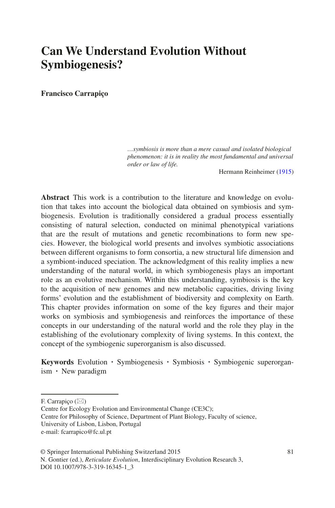# **Can We Understand Evolution Without Symbiogenesis?**

**Francisco Carrapiço**

*…symbiosis is more than a mere casual and isolated biological phenomenon: it is in reality the most fundamental and universal order or law of life.*

Hermann Reinheimer ([1915\)](#page-24-0)

**Abstract** This work is a contribution to the literature and knowledge on evolution that takes into account the biological data obtained on symbiosis and symbiogenesis. Evolution is traditionally considered a gradual process essentially consisting of natural selection, conducted on minimal phenotypical variations that are the result of mutations and genetic recombinations to form new species. However, the biological world presents and involves symbiotic associations between different organisms to form consortia, a new structural life dimension and a symbiont-induced speciation. The acknowledgment of this reality implies a new understanding of the natural world, in which symbiogenesis plays an important role as an evolutive mechanism. Within this understanding, symbiosis is the key to the acquisition of new genomes and new metabolic capacities, driving living forms' evolution and the establishment of biodiversity and complexity on Earth. This chapter provides information on some of the key figures and their major works on symbiosis and symbiogenesis and reinforces the importance of these concepts in our understanding of the natural world and the role they play in the establishing of the evolutionary complexity of living systems. In this context, the concept of the symbiogenic superorganism is also discussed.

**Keywords** Evolution **·** Symbiogenesis **·** Symbiosis **·** Symbiogenic superorganism **·** New paradigm

F. Carrapiço  $(\boxtimes)$ 

Centre for Ecology Evolution and Environmental Change (CE3C);

- Centre for Philosophy of Science, Department of Plant Biology, Faculty of science, University of Lisbon, Lisbon, Portugal
- e-mail: fcarrapico@fc.ul.pt

<sup>©</sup> Springer International Publishing Switzerland 2015

N. Gontier (ed.), *Reticulate Evolution*, Interdisciplinary Evolution Research 3, DOI 10.1007/978-3-319-16345-1\_3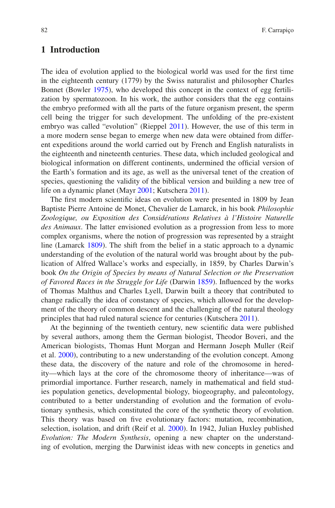# **1 Introduction**

The idea of evolution applied to the biological world was used for the first time in the eighteenth century (1779) by the Swiss naturalist and philosopher Charles Bonnet (Bowler [1975\)](#page-22-0), who developed this concept in the context of egg fertilization by spermatozoon. In his work, the author considers that the egg contains the embryo preformed with all the parts of the future organism present, the sperm cell being the trigger for such development. The unfolding of the pre-existent embryo was called "evolution" (Rieppel [2011](#page-24-1)). However, the use of this term in a more modern sense began to emerge when new data were obtained from different expeditions around the world carried out by French and English naturalists in the eighteenth and nineteenth centuries. These data, which included geological and biological information on different continents, undermined the official version of the Earth's formation and its age, as well as the universal tenet of the creation of species, questioning the validity of the biblical version and building a new tree of life on a dynamic planet (Mayr [2001](#page-23-0); Kutschera [2011\)](#page-23-1).

The first modern scientific ideas on evolution were presented in 1809 by Jean Baptiste Pierre Antoine de Monet, Chevalier de Lamarck, in his book *Philosophie Zoologique, ou Exposition des Considérations Relatives à l'Histoire Naturelle des Animaux*. The latter envisioned evolution as a progression from less to more complex organisms, where the notion of progression was represented by a straight line (Lamarck [1809\)](#page-23-2). The shift from the belief in a static approach to a dynamic understanding of the evolution of the natural world was brought about by the publication of Alfred Wallace's works and especially, in 1859, by Charles Darwin's book *On the Origin of Species by means of Natural Selection or the Preservation of Favored Races in the Struggle for Life* (Darwin [1859](#page-23-3)). Influenced by the works of Thomas Malthus and Charles Lyell, Darwin built a theory that contributed to change radically the idea of constancy of species, which allowed for the development of the theory of common descent and the challenging of the natural theology principles that had ruled natural science for centuries (Kutschera [2011](#page-23-1)).

At the beginning of the twentieth century, new scientific data were published by several authors, among them the German biologist, Theodor Boveri, and the American biologists, Thomas Hunt Morgan and Hermann Joseph Muller (Reif et al. [2000](#page-24-2)), contributing to a new understanding of the evolution concept. Among these data, the discovery of the nature and role of the chromosome in heredity—which lays at the core of the chromosome theory of inheritance—was of primordial importance. Further research, namely in mathematical and field studies population genetics, developmental biology, biogeography, and paleontology, contributed to a better understanding of evolution and the formation of evolutionary synthesis, which constituted the core of the synthetic theory of evolution. This theory was based on five evolutionary factors: mutation, recombination, selection, isolation, and drift (Reif et al. [2000\)](#page-24-2). In 1942, Julian Huxley published *Evolution: The Modern Synthesis*, opening a new chapter on the understanding of evolution, merging the Darwinist ideas with new concepts in genetics and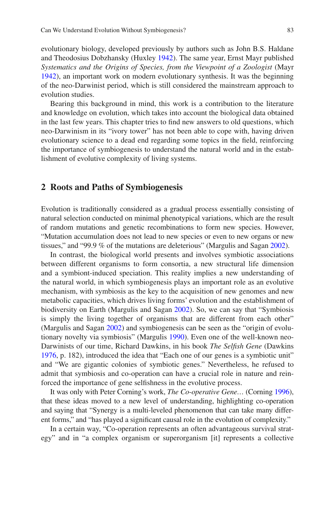evolutionary biology, developed previously by authors such as John B.S. Haldane and Theodosius Dobzhansky (Huxley [1942](#page-23-4)). The same year, Ernst Mayr published *Systematics and the Origins of Species, from the Viewpoint of a Zoologist* (Mayr [1942\)](#page-23-5), an important work on modern evolutionary synthesis. It was the beginning of the neo-Darwinist period, which is still considered the mainstream approach to evolution studies.

Bearing this background in mind, this work is a contribution to the literature and knowledge on evolution, which takes into account the biological data obtained in the last few years. This chapter tries to find new answers to old questions, which neo-Darwinism in its "ivory tower" has not been able to cope with, having driven evolutionary science to a dead end regarding some topics in the field, reinforcing the importance of symbiogenesis to understand the natural world and in the establishment of evolutive complexity of living systems.

### **2 Roots and Paths of Symbiogenesis**

Evolution is traditionally considered as a gradual process essentially consisting of natural selection conducted on minimal phenotypical variations, which are the result of random mutations and genetic recombinations to form new species. However, "Mutation accumulation does not lead to new species or even to new organs or new tissues," and "99.9 % of the mutations are deleterious" (Margulis and Sagan [2002](#page-23-6)).

In contrast, the biological world presents and involves symbiotic associations between different organisms to form consortia, a new structural life dimension and a symbiont-induced speciation. This reality implies a new understanding of the natural world, in which symbiogenesis plays an important role as an evolutive mechanism, with symbiosis as the key to the acquisition of new genomes and new metabolic capacities, which drives living forms' evolution and the establishment of biodiversity on Earth (Margulis and Sagan [2002\)](#page-23-6). So, we can say that "Symbiosis is simply the living together of organisms that are different from each other" (Margulis and Sagan [2002\)](#page-23-6) and symbiogenesis can be seen as the "origin of evolutionary novelty via symbiosis" (Margulis [1990\)](#page-23-7). Even one of the well-known neo-Darwinists of our time, Richard Dawkins, in his book *The Selfish Gene* (Dawkins [1976,](#page-23-8) p. 182), introduced the idea that "Each one of our genes is a symbiotic unit" and "We are gigantic colonies of symbiotic genes." Nevertheless, he refused to admit that symbiosis and co-operation can have a crucial role in nature and reinforced the importance of gene selfishness in the evolutive process.

It was only with Peter Corning's work, *The Co*-*operative Gene…* (Corning [1996\)](#page-22-1), that these ideas moved to a new level of understanding, highlighting co-operation and saying that "Synergy is a multi-leveled phenomenon that can take many different forms," and "has played a significant causal role in the evolution of complexity."

In a certain way, "Co-operation represents an often advantageous survival strategy" and in "a complex organism or superorganism [it] represents a collective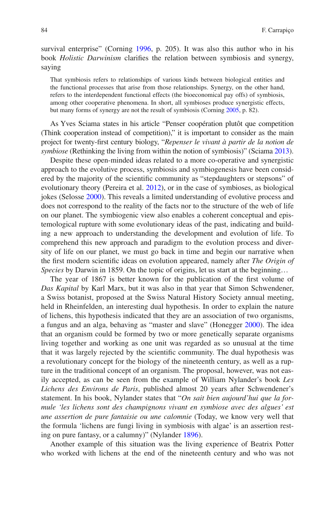# survival enterprise" (Corning [1996](#page-22-1), p. 205). It was also this author who in his book *Holistic Darwinism* clarifies the relation between symbiosis and synergy, saying

That symbiosis refers to relationships of various kinds between biological entities and the functional processes that arise from those relationships. Synergy, on the other hand, refers to the interdependent functional effects (the bioeconomical pay offs) of symbiosis, among other cooperative phenomena. In short, all symbioses produce synergistic effects, but many forms of synergy are not the result of symbiosis (Corning [2005,](#page-22-2) p. 82).

As Yves Sciama states in his article "Penser coopération plutôt que competition (Think cooperation instead of competition)," it is important to consider as the main project for twenty-first century biology, "*Repenser le vivant à partir de la notion de symbiose* (Rethinking the living from within the notion of symbiosis)" (Sciama [2013\)](#page-24-3).

Despite these open-minded ideas related to a more co-operative and synergistic approach to the evolutive process, symbiosis and symbiogenesis have been considered by the majority of the scientific community as "stepdaughters or stepsons" of evolutionary theory (Pereira et al. [2012](#page-23-9)), or in the case of symbioses, as biological jokes (Selosse [2000](#page-24-4)). This reveals a limited understanding of evolutive process and does not correspond to the reality of the facts nor to the structure of the web of life on our planet. The symbiogenic view also enables a coherent conceptual and epistemological rupture with some evolutionary ideas of the past, indicating and building a new approach to understanding the development and evolution of life. To comprehend this new approach and paradigm to the evolution process and diversity of life on our planet, we must go back in time and begin our narrative when the first modern scientific ideas on evolution appeared, namely after *The Origin of Species* by Darwin in 1859. On the topic of origins, let us start at the beginning...

The year of 1867 is better known for the publication of the first volume of *Das Kapital* by Karl Marx, but it was also in that year that Simon Schwendener, a Swiss botanist, proposed at the Swiss Natural History Society annual meeting, held in Rheinfelden, an interesting dual hypothesis. In order to explain the nature of lichens, this hypothesis indicated that they are an association of two organisms, a fungus and an alga, behaving as "master and slave" (Honegger [2000](#page-23-10)). The idea that an organism could be formed by two or more genetically separate organisms living together and working as one unit was regarded as so unusual at the time that it was largely rejected by the scientific community. The dual hypothesis was a revolutionary concept for the biology of the nineteenth century, as well as a rupture in the traditional concept of an organism. The proposal, however, was not easily accepted, as can be seen from the example of William Nylander's book *Les Lichens des Environs de Paris*, published almost 20 years after Schwendener's statement. In his book, Nylander states that "*On sait bien aujourd'hui que la formule 'les lichens sont des champignons vivant en symbiose avec des algues' est une assertion de pure fantaisie ou une calomnie* (Today, we know very well that the formula 'lichens are fungi living in symbiosis with algae' is an assertion resting on pure fantasy, or a calumny)" (Nylander [1896](#page-23-11)).

Another example of this situation was the living experience of Beatrix Potter who worked with lichens at the end of the nineteenth century and who was not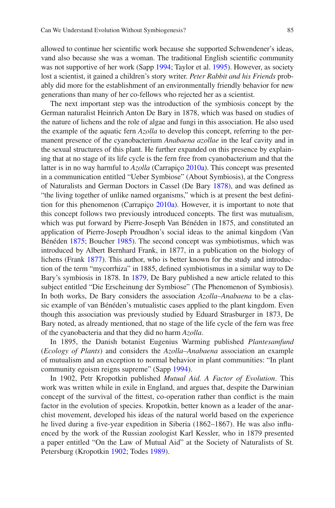allowed to continue her scientific work because she supported Schwendener's ideas, vand also because she was a woman. The traditional English scientific community was not supportive of her work (Sapp [1994](#page-24-5); Taylor et al. [1995\)](#page-24-6). However, as society lost a scientist, it gained a children's story writer. *Peter Rabbit and his Friends* probably did more for the establishment of an environmentally friendly behavior for new generations than many of her co-fellows who rejected her as a scientist.

The next important step was the introduction of the symbiosis concept by the German naturalist Heinrich Anton De Bary in 1878, which was based on studies of the nature of lichens and the role of algae and fungi in this association. He also used the example of the aquatic fern *Azolla* to develop this concept, referring to the permanent presence of the cyanobacterium *Anabaena azollae* in the leaf cavity and in the sexual structures of this plant. He further expanded on this presence by explaining that at no stage of its life cycle is the fern free from cyanobacterium and that the latter is in no way harmful to *Azolla* (Carrapiço [2010a](#page-22-3)). This concept was presented in a communication entitled "Ueber Symbiose" (About Symbiosis), at the Congress of Naturalists and German Doctors in Cassel (De Bary [1878](#page-22-4)), and was defined as "the living together of unlike named organisms," which is at present the best definition for this phenomenon (Carrapiço [2010a\)](#page-22-3). However, it is important to note that this concept follows two previously introduced concepts. The first was mutualism, which was put forward by Pierre-Joseph Van Bénéden in 1875, and constituted an application of Pierre-Joseph Proudhon's social ideas to the animal kingdom (Van Bénéden [1875](#page-24-7); Boucher [1985](#page-22-5)). The second concept was symbiotismus, which was introduced by Albert Bernhard Frank, in 1877, in a publication on the biology of lichens (Frank [1877\)](#page-23-12). This author, who is better known for the study and introduction of the term "mycorrhiza" in 1885, defined symbiotismus in a similar way to De Bary's symbiosis in 1878. In [1879](#page-23-13), De Bary published a new article related to this subject entitled "Die Erscheinung der Symbiose" (The Phenomenon of Symbiosis). In both works, De Bary considers the association *Azolla*–*Anabaena* to be a classic example of van Bénéden's mutualistic cases applied to the plant kingdom. Even though this association was previously studied by Eduard Strasburger in 1873, De Bary noted, as already mentioned, that no stage of the life cycle of the fern was free of the cyanobacteria and that they did no harm *Azolla*.

In 1895, the Danish botanist Eugenius Warming published *Plantesamfund* (*Ecology of Plants*) and considers the *Azolla*–*Anabaena* association an example of mutualism and an exception to normal behavior in plant communities: "In plant community egoism reigns supreme" (Sapp [1994\)](#page-24-5).

In 1902, Petr Kropotkin published *Mutual Aid. A Factor of Evolution*. This work was written while in exile in England, and argues that, despite the Darwinian concept of the survival of the fittest, co-operation rather than conflict is the main factor in the evolution of species. Kropotkin, better known as a leader of the anarchist movement, developed his ideas of the natural world based on the experience he lived during a five-year expedition in Siberia (1862–1867). He was also influenced by the work of the Russian zoologist Karl Kessler, who in 1879 presented a paper entitled "On the Law of Mutual Aid" at the Society of Naturalists of St. Petersburg (Kropotkin [1902;](#page-23-14) Todes [1989\)](#page-24-8).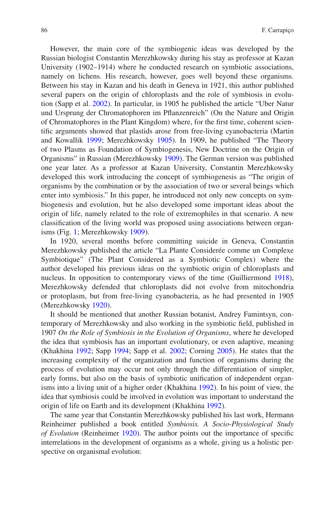However, the main core of the symbiogenic ideas was developed by the Russian biologist Constantin Merezhkowsky during his stay as professor at Kazan University (1902–1914) where he conducted research on symbiotic associations, namely on lichens. His research, however, goes well beyond these organisms. Between his stay in Kazan and his death in Geneva in 1921, this author published several papers on the origin of chloroplasts and the role of symbiosis in evolution (Sapp et al. [2002](#page-24-9)). In particular, in 1905 he published the article "Uber Natur und Ursprung der Chromatophoren im Pflanzenreich" (On the Nature and Origin of Chromatophores in the Plant Kingdom) where, for the first time, coherent scientific arguments showed that plastids arose from free-living cyanobacteria (Martin and Kowallik [1999](#page-23-15); Merezhkowsky [1905\)](#page-23-16). In 1909, he published "The Theory of two Plasms as Foundation of Symbiogenesis, New Doctrine on the Origin of Organisms" in Russian (Merezhkowsky [1909\)](#page-23-17). The German version was published one year later. As a professor at Kazan University, Constantin Merezhkowsky developed this work introducing the concept of symbiogenesis as "The origin of organisms by the combination or by the association of two or several beings which enter into symbiosis." In this paper, he introduced not only new concepts on symbiogenesis and evolution, but he also developed some important ideas about the origin of life, namely related to the role of extremophiles in that scenario. A new classification of the living world was proposed using associations between organisms (Fig. [1](#page-6-0); Merezhkowsky [1909](#page-23-17)).

In 1920, several months before committing suicide in Geneva, Constantin Merezhkowsky published the article "La Plante Considerée comme un Complexe Symbiotique" (The Plant Considered as a Symbiotic Complex) where the author developed his previous ideas on the symbiotic origin of chloroplasts and nucleus. In opposition to contemporary views of the time (Guilliermond [1918\)](#page-23-18), Merezhkowsky defended that chloroplasts did not evolve from mitochondria or protoplasm, but from free-living cyanobacteria, as he had presented in 1905 (Merezhkowsky [1920\)](#page-23-19).

It should be mentioned that another Russian botanist, Andrey Famintsyn, contemporary of Merezhkowsky and also working in the symbiotic field, published in 1907 *On the Role of Symbiosis in the Evolution of Organisms*, where he developed the idea that symbiosis has an important evolutionary, or even adaptive, meaning (Khakhina [1992](#page-23-20); Sapp [1994](#page-24-5); Sapp et al. [2002;](#page-24-9) Corning [2005\)](#page-22-2). He states that the increasing complexity of the organization and function of organisms during the process of evolution may occur not only through the differentiation of simpler, early forms, but also on the basis of symbiotic unification of independent organisms into a living unit of a higher order (Khakhina [1992\)](#page-23-20). In his point of view, the idea that symbiosis could be involved in evolution was important to understand the origin of life on Earth and its development (Khakhina [1992\)](#page-23-20).

The same year that Constantin Merezhkowsky published his last work, Hermann Reinheimer published a book entitled *Symbiosis. A Socio*-*Physiological Study of Evolution* (Reinheimer [1920\)](#page-24-10). The author points out the importance of specific interrelations in the development of organisms as a whole, giving us a holistic perspective on organismal evolution: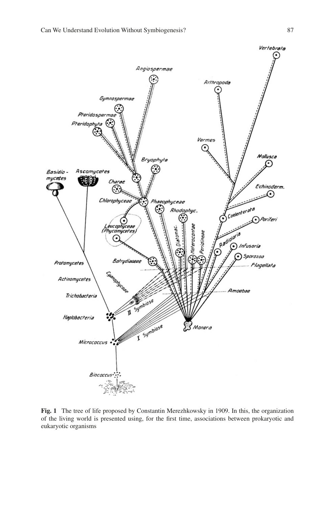

<span id="page-6-0"></span>**Fig. 1** The tree of life proposed by Constantin Merezhkowsky in 1909. In this, the organization of the living world is presented using, for the first time, associations between prokaryotic and eukaryotic organisms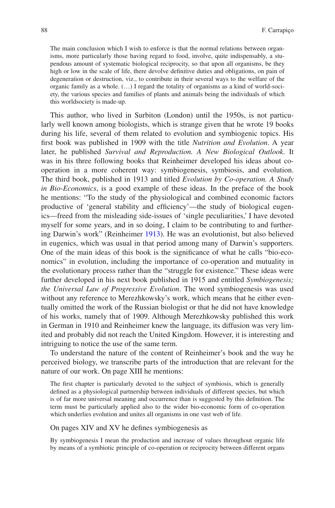The main conclusion which I wish to enforce is that the normal relations between organisms, more particularly those having regard to food, involve, quite indispensably, a stupendous amount of systematic biological reciprocity, so that upon all organisms, be they high or low in the scale of life, there devolve definitive duties and obligations, on pain of degeneration or destruction, viz., to contribute in their several ways to the welfare of the organic family as a whole. (…) I regard the totality of organisms as a kind of world-society, the various species and families of plants and animals being the individuals of which this worldsociety is made-up.

This author, who lived in Surbiton (London) until the 1950s, is not particularly well known among biologists, which is strange given that he wrote 19 books during his life, several of them related to evolution and symbiogenic topics. His first book was published in 1909 with the title *Nutrition and Evolution*. A year later, he published *Survival and Reproduction. A New Biological Outlook*. It was in his three following books that Reinheimer developed his ideas about cooperation in a more coherent way: symbiogenesis, symbiosis, and evolution. The third book, published in 1913 and titled *Evolution by Co*-*operation. A Study in Bio*-*Economics*, is a good example of these ideas. In the preface of the book he mentions: "To the study of the physiological and combined economic factors productive of 'general stability and efficiency'—the study of biological eugenics—freed from the misleading side-issues of 'single peculiarities,' I have devoted myself for some years, and in so doing, I claim to be contributing to and furthering Darwin's work" (Reinheimer [1913](#page-24-11)). He was an evolutionist, but also believed in eugenics, which was usual in that period among many of Darwin's supporters. One of the main ideas of this book is the significance of what he calls "bio-economics" in evolution, including the importance of co-operation and mutuality in the evolutionary process rather than the "struggle for existence." These ideas were further developed in his next book published in 1915 and entitled *Symbiogenesis; the Universal Law of Progressive Evolution*. The word symbiogenesis was used without any reference to Merezhkowsky's work, which means that he either eventually omitted the work of the Russian biologist or that he did not have knowledge of his works, namely that of 1909. Although Merezhkowsky published this work in German in 1910 and Reinheimer knew the language, its diffusion was very limited and probably did not reach the United Kingdom. However, it is interesting and intriguing to notice the use of the same term.

To understand the nature of the content of Reinheimer's book and the way he perceived biology, we transcribe parts of the introduction that are relevant for the nature of our work. On page XIII he mentions:

The first chapter is particularly devoted to the subject of symbiosis, which is generally defined as a physiological partnership between individuals of different species, but which is of far more universal meaning and occurrence than is suggested by this definition. The term must be particularly applied also to the wider bio-economic form of co-operation which underlies evolution and unites all organisms in one vast web of life.

### On pages XIV and XV he defines symbiogenesis as

By symbiogenesis I mean the production and increase of values throughout organic life by means of a symbiotic principle of co-operation or reciprocity between different organs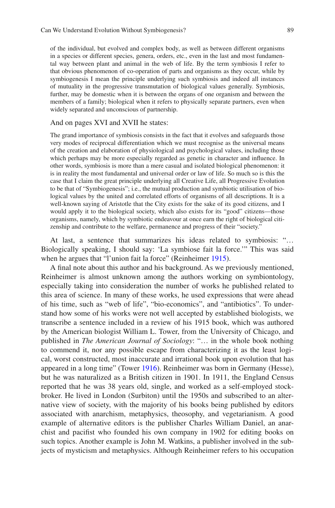of the individual, but evolved and complex body, as well as between different organisms in a species or different species, genera, orders, etc., even in the last and most fundamental way between plant and animal in the web of life. By the term symbiosis I refer to that obvious phenomenon of co-operation of parts and organisms as they occur, while by symbiogenesis I mean the principle underlying such symbiosis and indeed all instances of mutuality in the progressive transmutation of biological values generally. Symbiosis, further, may be domestic when it is between the organs of one organism and between the members of a family; biological when it refers to physically separate partners, even when widely separated and unconscious of partnership.

#### And on pages XVI and XVII he states:

The grand importance of symbiosis consists in the fact that it evolves and safeguards those very modes of reciprocal differentiation which we must recognise as the universal means of the creation and elaboration of physiological and psychological values, including those which perhaps may be more especially regarded as genetic in character and influence. In other words, symbiosis is more than a mere casual and isolated biological phenomenon: it is in reality the most fundamental and universal order or law of life. So much so is this the case that I claim the great principle underlying all Creative Life, all Progressive Evolution to be that of "Symbiogenesis"; i.e., the mutual production and symbiotic utilisation of biological values by the united and correlated efforts of organisms of all descriptions. It is a well-known saying of Aristotle that the City exists for the sake of its good citizens, and I would apply it to the biological society, which also exists for its "good" citizens—those organisms, namely, which by symbiotic endeavour at once earn the right of biological citizenship and contribute to the welfare, permanence and progress of their "society."

At last, a sentence that summarizes his ideas related to symbiosis: "… Biologically speaking, I should say: 'La symbiose fait la force.'" This was said when he argues that "l'union fait la force" (Reinheimer [1915](#page-24-0)).

A final note about this author and his background. As we previously mentioned, Reinheimer is almost unknown among the authors working on symbiontology, especially taking into consideration the number of works he published related to this area of science. In many of these works, he used expressions that were ahead of his time, such as "web of life", "bio-economics", and "antibiotics". To understand how some of his works were not well accepted by established biologists, we transcribe a sentence included in a review of his 1915 book, which was authored by the American biologist William L. Tower, from the University of Chicago, and published in *The American Journal of Sociology*: "… in the whole book nothing to commend it, nor any possible escape from characterizing it as the least logical, worst constructed, most inaccurate and irrational book upon evolution that has appeared in a long time" (Tower [1916\)](#page-24-12). Reinheimer was born in Germany (Hesse), but he was naturalized as a British citizen in 1901. In 1911, the England Census reported that he was 38 years old, single, and worked as a self-employed stockbroker. He lived in London (Surbiton) until the 1950s and subscribed to an alternative view of society, with the majority of his books being published by editors associated with anarchism, metaphysics, theosophy, and vegetarianism. A good example of alternative editors is the publisher Charles William Daniel, an anarchist and pacifist who founded his own company in 1902 for editing books on such topics. Another example is John M. Watkins, a publisher involved in the subjects of mysticism and metaphysics. Although Reinheimer refers to his occupation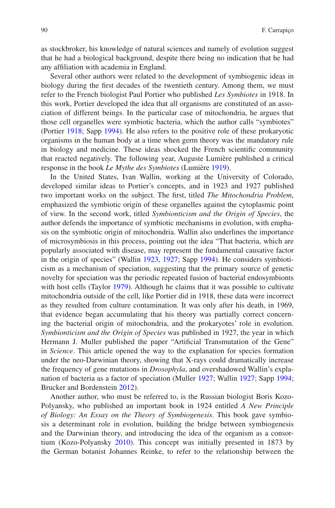as stockbroker, his knowledge of natural sciences and namely of evolution suggest that he had a biological background, despite there being no indication that he had any affiliation with academia in England.

Several other authors were related to the development of symbiogenic ideas in biology during the first decades of the twentieth century. Among them, we must refer to the French biologist Paul Portier who published *Les Symbiotes* in 1918. In this work, Portier developed the idea that all organisms are constituted of an association of different beings. In the particular case of mitochondria, he argues that those cell organelles were symbiotic bacteria, which the author calls "symbiotes" (Portier [1918](#page-23-21); Sapp [1994](#page-24-5)). He also refers to the positive role of these prokaryotic organisms in the human body at a time when germ theory was the mandatory rule in biology and medicine. These ideas shocked the French scientific community that reacted negatively. The following year, Auguste Lumière published a critical response in the book *Le Mythe des Symbiotes* (Lumière [1919](#page-23-22)).

In the United States, Ivan Wallin, working at the University of Colorado, developed similar ideas to Portier's concepts, and in 1923 and 1927 published two important works on the subject. The first, titled *The Mitochondria Problem*, emphasized the symbiotic origin of these organelles against the cytoplasmic point of view. In the second work, titled *Symbionticism and the Origin of Species*, the author defends the importance of symbiotic mechanisms in evolution, with emphasis on the symbiotic origin of mitochondria. Wallin also underlines the importance of microsymbiosis in this process, pointing out the idea "That bacteria, which are popularly associated with disease, may represent the fundamental causative factor in the origin of species" (Wallin [1923,](#page-24-13) [1927;](#page-24-14) Sapp [1994\)](#page-24-5). He considers symbioticism as a mechanism of speciation, suggesting that the primary source of genetic novelty for speciation was the periodic repeated fusion of bacterial endosymbionts with host cells (Taylor [1979](#page-24-15)). Although he claims that it was possible to cultivate mitochondria outside of the cell, like Portier did in 1918, these data were incorrect as they resulted from culture contamination. It was only after his death, in 1969, that evidence began accumulating that his theory was partially correct concerning the bacterial origin of mitochondria, and the prokaryotes' role in evolution. *Symbionticism and the Origin of Species* was published in 1927, the year in which Hermann J. Muller published the paper "Artificial Transmutation of the Gene" in *Science*. This article opened the way to the explanation for species formation under the neo-Darwinian theory, showing that X-rays could dramatically increase the frequency of gene mutations in *Drosophyla*, and overshadowed Wallin's explanation of bacteria as a factor of speciation (Muller [1927;](#page-23-23) Wallin [1927](#page-24-14); Sapp [1994;](#page-24-5) Brucker and Bordenstein [2012](#page-22-6)).

Another author, who must be referred to, is the Russian biologist Boris Kozo-Polyansky, who published an important book in 1924 entitled *A New Principle of Biology: An Essay on the Theory of Symbiogenesis*. This book gave symbiosis a determinant role in evolution, building the bridge between symbiogenesis and the Darwinian theory, and introducing the idea of the organism as a consortium (Kozo-Polyansky [2010](#page-23-24)). This concept was initially presented in 1873 by the German botanist Johannes Reinke, to refer to the relationship between the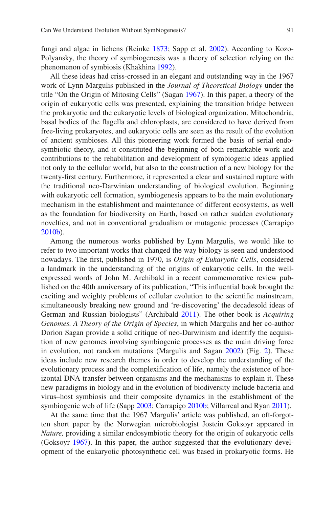fungi and algae in lichens (Reinke [1873](#page-24-16); Sapp et al. [2002\)](#page-24-9). According to Kozo-Polyansky, the theory of symbiogenesis was a theory of selection relying on the phenomenon of symbiosis (Khakhina [1992](#page-23-20)).

All these ideas had criss-crossed in an elegant and outstanding way in the 1967 work of Lynn Margulis published in the *Journal of Theoretical Biology* under the title "On the Origin of Mitosing Cells" (Sagan [1967](#page-24-17)). In this paper, a theory of the origin of eukaryotic cells was presented, explaining the transition bridge between the prokaryotic and the eukaryotic levels of biological organization. Mitochondria, basal bodies of the flagella and chloroplasts, are considered to have derived from free-living prokaryotes, and eukaryotic cells are seen as the result of the evolution of ancient symbioses. All this pioneering work formed the basis of serial endosymbiotic theory, and it constituted the beginning of both remarkable work and contributions to the rehabilitation and development of symbiogenic ideas applied not only to the cellular world, but also to the construction of a new biology for the twenty-first century. Furthermore, it represented a clear and sustained rupture with the traditional neo-Darwinian understanding of biological evolution. Beginning with eukaryotic cell formation, symbiogenesis appears to be the main evolutionary mechanism in the establishment and maintenance of different ecosystems, as well as the foundation for biodiversity on Earth, based on rather sudden evolutionary novelties, and not in conventional gradualism or mutagenic processes (Carrapiço [2010b\)](#page-22-7).

Among the numerous works published by Lynn Margulis, we would like to refer to two important works that changed the way biology is seen and understood nowadays. The first, published in 1970, is *Origin of Eukaryotic Cells*, considered a landmark in the understanding of the origins of eukaryotic cells. In the wellexpressed words of John M. Archibald in a recent commemorative review published on the 40th anniversary of its publication, "This influential book brought the exciting and weighty problems of cellular evolution to the scientific mainstream, simultaneously breaking new ground and 're-discovering' the decadesold ideas of German and Russian biologists" (Archibald [2011\)](#page-22-8). The other book is *Acquiring Genomes. A Theory of the Origin of Species*, in which Margulis and her co-author Dorion Sagan provide a solid critique of neo-Darwinism and identify the acquisition of new genomes involving symbiogenic processes as the main driving force in evolution, not random mutations (Margulis and Sagan [2002\)](#page-23-6) (Fig. [2\)](#page-11-0). These ideas include new research themes in order to develop the understanding of the evolutionary process and the complexification of life, namely the existence of horizontal DNA transfer between organisms and the mechanisms to explain it. These new paradigms in biology and in the evolution of biodiversity include bacteria and virus–host symbiosis and their composite dynamics in the establishment of the symbiogenic web of life (Sapp [2003](#page-24-18); Carrapiço [2010b](#page-22-7); Villarreal and Ryan [2011\)](#page-24-19).

At the same time that the 1967 Margulis' article was published, an oft-forgotten short paper by the Norwegian microbiologist Jostein Goksoyr appeared in *Nature,* providing a similar endosymbiotic theory for the origin of eukaryotic cells (Goksoyr [1967](#page-23-25)). In this paper, the author suggested that the evolutionary development of the eukaryotic photosynthetic cell was based in prokaryotic forms. He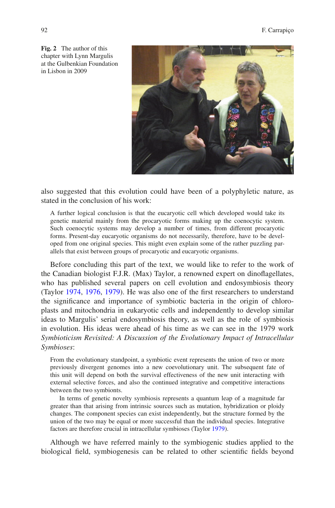<span id="page-11-0"></span>**Fig. 2** The author of this chapter with Lynn Margulis at the Gulbenkian Foundation in Lisbon in 2009



also suggested that this evolution could have been of a polyphyletic nature, as stated in the conclusion of his work:

A further logical conclusion is that the eucaryotic cell which developed would take its genetic material mainly from the procaryotic forms making up the coenocytic system. Such coenocytic systems may develop a number of times, from different procaryotic forms. Present-day eucaryotic organisms do not necessarily, therefore, have to be developed from one original species. This might even explain some of the rather puzzling parallels that exist between groups of procaryotic and eucaryotic organisms.

Before concluding this part of the text, we would like to refer to the work of the Canadian biologist F.J.R. (Max) Taylor, a renowned expert on dinoflagellates, who has published several papers on cell evolution and endosymbiosis theory (Taylor [1974](#page-24-20), [1976,](#page-24-21) [1979\)](#page-24-15). He was also one of the first researchers to understand the significance and importance of symbiotic bacteria in the origin of chloroplasts and mitochondria in eukaryotic cells and independently to develop similar ideas to Margulis' serial endosymbiosis theory, as well as the role of symbiosis in evolution. His ideas were ahead of his time as we can see in the 1979 work *Symbioticism Revisited: A Discussion of the Evolutionary Impact of Intracellular Symbioses*:

From the evolutionary standpoint, a symbiotic event represents the union of two or more previously divergent genomes into a new coevolutionary unit. The subsequent fate of this unit will depend on both the survival effectiveness of the new unit interacting with external selective forces, and also the continued integrative and competitive interactions between the two symbionts.

In terms of genetic novelty symbiosis represents a quantum leap of a magnitude far greater than that arising from intrinsic sources such as mutation, hybridization or ploidy changes. The component species can exist independently, but the structure formed by the union of the two may be equal or more successful than the individual species. Integrative factors are therefore crucial in intracellular symbioses (Taylor [1979](#page-24-15)).

Although we have referred mainly to the symbiogenic studies applied to the biological field, symbiogenesis can be related to other scientific fields beyond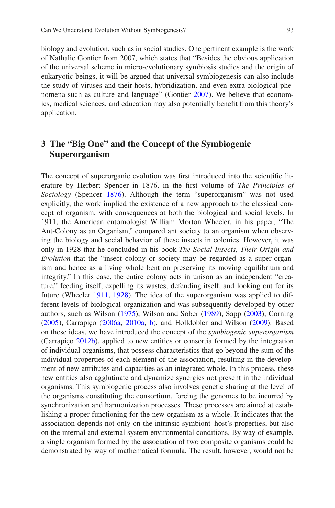biology and evolution, such as in social studies. One pertinent example is the work of Nathalie Gontier from 2007, which states that "Besides the obvious application of the universal scheme in micro-evolutionary symbiosis studies and the origin of eukaryotic beings, it will be argued that universal symbiogenesis can also include the study of viruses and their hosts, hybridization, and even extra-biological phenomena such as culture and language" (Gontier [2007](#page-23-26)). We believe that economics, medical sciences, and education may also potentially benefit from this theory's application.

# **3 The "Big One" and the Concept of the Symbiogenic Superorganism**

The concept of superorganic evolution was first introduced into the scientific literature by Herbert Spencer in 1876, in the first volume of *The Principles of Sociology* (Spencer [1876\)](#page-24-22). Although the term "superorganism" was not used explicitly, the work implied the existence of a new approach to the classical concept of organism, with consequences at both the biological and social levels. In 1911, the American entomologist William Morton Wheeler, in his paper, "The Ant-Colony as an Organism," compared ant society to an organism when observing the biology and social behavior of these insects in colonies. However, it was only in 1928 that he concluded in his book *The Social Insects, Their Origin and Evolution* that the "insect colony or society may be regarded as a super-organism and hence as a living whole bent on preserving its moving equilibrium and integrity." In this case, the entire colony acts in unison as an independent "creature," feeding itself, expelling its wastes, defending itself, and looking out for its future (Wheeler [1911](#page-24-23), [1928](#page-24-24)). The idea of the superorganism was applied to different levels of biological organization and was subsequently developed by other authors, such as Wilson [\(1975](#page-24-25)), Wilson and Sober [\(1989](#page-24-26)), Sapp [\(2003](#page-24-18)), Corning [\(2005](#page-22-2)), Carrapiço ([2006a](#page-22-9), [2010a](#page-22-3), [b](#page-22-7)), and Holldobler and Wilson [\(2009](#page-23-27)). Based on these ideas, we have introduced the concept of the *symbiogenic superorganism* (Carrapiço [2012b\)](#page-22-10), applied to new entities or consortia formed by the integration of individual organisms, that possess characteristics that go beyond the sum of the individual properties of each element of the association, resulting in the development of new attributes and capacities as an integrated whole. In this process, these new entities also agglutinate and dynamize synergies not present in the individual organisms. This symbiogenic process also involves genetic sharing at the level of the organisms constituting the consortium, forcing the genomes to be incurred by synchronization and harmonization processes. These processes are aimed at establishing a proper functioning for the new organism as a whole. It indicates that the association depends not only on the intrinsic symbiont–host's properties, but also on the internal and external system environmental conditions. By way of example, a single organism formed by the association of two composite organisms could be demonstrated by way of mathematical formula. The result, however, would not be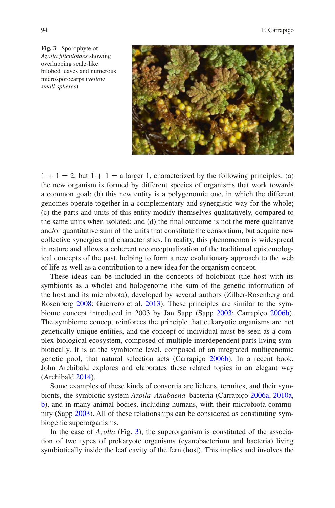<span id="page-13-0"></span>

**Fig. 3** Sporophyte of *Azolla filiculoides* showing overlapping scale-like bilobed leaves and numerous microsporocarps (*yellow small spheres*)

 $1 + 1 = 2$ , but  $1 + 1 =$  a larger 1, characterized by the following principles: (a) the new organism is formed by different species of organisms that work towards a common goal; (b) this new entity is a polygenomic one, in which the different genomes operate together in a complementary and synergistic way for the whole; (c) the parts and units of this entity modify themselves qualitatively, compared to the same units when isolated; and (d) the final outcome is not the mere qualitative and/or quantitative sum of the units that constitute the consortium, but acquire new collective synergies and characteristics. In reality, this phenomenon is widespread in nature and allows a coherent reconceptualization of the traditional epistemological concepts of the past, helping to form a new evolutionary approach to the web of life as well as a contribution to a new idea for the organism concept.

These ideas can be included in the concepts of holobiont (the host with its symbionts as a whole) and hologenome (the sum of the genetic information of the host and its microbiota), developed by several authors (Zilber-Rosenberg and Rosenberg [2008](#page-24-27); Guerrero et al. [2013\)](#page-23-28). These principles are similar to the symbiome concept introduced in 2003 by Jan Sapp (Sapp [2003](#page-24-18); Carrapiço [2006b\)](#page-22-11). The symbiome concept reinforces the principle that eukaryotic organisms are not genetically unique entities, and the concept of individual must be seen as a complex biological ecosystem, composed of multiple interdependent parts living symbiotically. It is at the symbiome level, composed of an integrated multigenomic genetic pool, that natural selection acts (Carrapiço [2006b\)](#page-22-11). In a recent book, John Archibald explores and elaborates these related topics in an elegant way (Archibald [2014\)](#page-22-12).

Some examples of these kinds of consortia are lichens, termites, and their symbionts, the symbiotic system *Azolla*–*Anabaena*–bacteria (Carrapiço [2006a](#page-22-9), [2010a](#page-22-3), [b\)](#page-22-7), and in many animal bodies, including humans, with their microbiota community (Sapp [2003](#page-24-18)). All of these relationships can be considered as constituting symbiogenic superorganisms.

In the case of *Azolla* (Fig. [3](#page-13-0)), the superorganism is constituted of the association of two types of prokaryote organisms (cyanobacterium and bacteria) living symbiotically inside the leaf cavity of the fern (host). This implies and involves the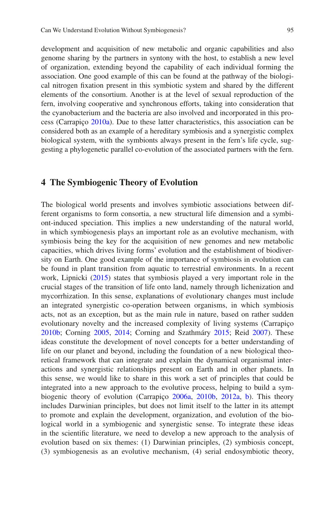development and acquisition of new metabolic and organic capabilities and also genome sharing by the partners in syntony with the host, to establish a new level of organization, extending beyond the capability of each individual forming the association. One good example of this can be found at the pathway of the biological nitrogen fixation present in this symbiotic system and shared by the different elements of the consortium. Another is at the level of sexual reproduction of the fern, involving cooperative and synchronous efforts, taking into consideration that the cyanobacterium and the bacteria are also involved and incorporated in this process (Carrapiço [2010a\)](#page-22-3). Due to these latter characteristics, this association can be considered both as an example of a hereditary symbiosis and a synergistic complex biological system, with the symbionts always present in the fern's life cycle, suggesting a phylogenetic parallel co-evolution of the associated partners with the fern.

# **4 The Symbiogenic Theory of Evolution**

The biological world presents and involves symbiotic associations between different organisms to form consortia, a new structural life dimension and a symbiont-induced speciation. This implies a new understanding of the natural world, in which symbiogenesis plays an important role as an evolutive mechanism, with symbiosis being the key for the acquisition of new genomes and new metabolic capacities, which drives living forms' evolution and the establishment of biodiversity on Earth. One good example of the importance of symbiosis in evolution can be found in plant transition from aquatic to terrestrial environments. In a recent work, Lipnicki ([2015\)](#page-23-29) states that symbiosis played a very important role in the crucial stages of the transition of life onto land, namely through lichenization and mycorrhization. In this sense, explanations of evolutionary changes must include an integrated synergistic co-operation between organisms, in which symbiosis acts, not as an exception, but as the main rule in nature, based on rather sudden evolutionary novelty and the increased complexity of living systems (Carrapiço [2010b;](#page-22-7) Corning [2005](#page-22-2), [2014](#page-22-13); Corning and Szathmáry [2015;](#page-22-14) Reid [2007\)](#page-24-28). These ideas constitute the development of novel concepts for a better understanding of life on our planet and beyond, including the foundation of a new biological theoretical framework that can integrate and explain the dynamical organismal interactions and synergistic relationships present on Earth and in other planets. In this sense, we would like to share in this work a set of principles that could be integrated into a new approach to the evolutive process, helping to build a symbiogenic theory of evolution (Carrapiço [2006a,](#page-22-9) [2010b,](#page-22-7) [2012a,](#page-22-15) [b\)](#page-22-10). This theory includes Darwinian principles, but does not limit itself to the latter in its attempt to promote and explain the development, organization, and evolution of the biological world in a symbiogenic and synergistic sense. To integrate these ideas in the scientific literature, we need to develop a new approach to the analysis of evolution based on six themes: (1) Darwinian principles, (2) symbiosis concept, (3) symbiogenesis as an evolutive mechanism, (4) serial endosymbiotic theory,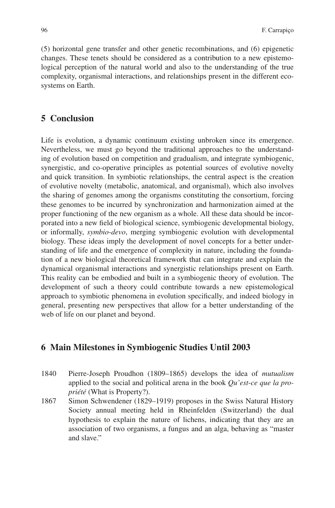(5) horizontal gene transfer and other genetic recombinations, and (6) epigenetic changes. These tenets should be considered as a contribution to a new epistemological perception of the natural world and also to the understanding of the true complexity, organismal interactions, and relationships present in the different ecosystems on Earth.

# **5 Conclusion**

Life is evolution, a dynamic continuum existing unbroken since its emergence. Nevertheless, we must go beyond the traditional approaches to the understanding of evolution based on competition and gradualism, and integrate symbiogenic, synergistic, and co-operative principles as potential sources of evolutive novelty and quick transition. In symbiotic relationships, the central aspect is the creation of evolutive novelty (metabolic, anatomical, and organismal), which also involves the sharing of genomes among the organisms constituting the consortium, forcing these genomes to be incurred by synchronization and harmonization aimed at the proper functioning of the new organism as a whole. All these data should be incorporated into a new field of biological science, symbiogenic developmental biology, or informally, *symbio*-*devo*, merging symbiogenic evolution with developmental biology. These ideas imply the development of novel concepts for a better understanding of life and the emergence of complexity in nature, including the foundation of a new biological theoretical framework that can integrate and explain the dynamical organismal interactions and synergistic relationships present on Earth. This reality can be embodied and built in a symbiogenic theory of evolution. The development of such a theory could contribute towards a new epistemological approach to symbiotic phenomena in evolution specifically, and indeed biology in general, presenting new perspectives that allow for a better understanding of the web of life on our planet and beyond.

## **6 Main Milestones in Symbiogenic Studies Until 2003**

- 1840 Pierre-Joseph Proudhon (1809–1865) develops the idea of *mutualism* applied to the social and political arena in the book *Qu'est*-*ce que la propriété* (What is Property?).
- 1867 Simon Schwendener (1829–1919) proposes in the Swiss Natural History Society annual meeting held in Rheinfelden (Switzerland) the dual hypothesis to explain the nature of lichens, indicating that they are an association of two organisms, a fungus and an alga, behaving as "master and slave."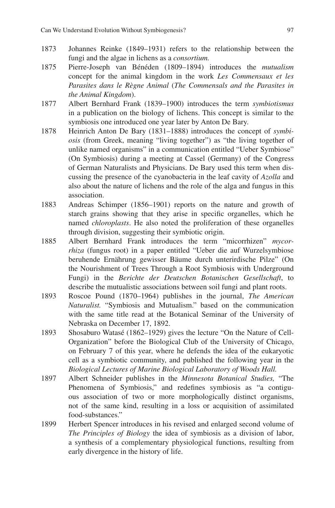- 1873 Johannes Reinke (1849–1931) refers to the relationship between the fungi and the algae in lichens as a *consortium.*
- 1875 Pierre-Joseph van Bénéden (1809–1894) introduces the *mutualism* concept for the animal kingdom in the work *Les Commensaux et les Parasites dans le Règne Animal* (*The Commensals and the Parasites in the Animal Kingdom*).
- 1877 Albert Bernhard Frank (1839–1900) introduces the term *symbiotismus* in a publication on the biology of lichens. This concept is similar to the symbiosis one introduced one year later by Anton De Bary.
- 1878 Heinrich Anton De Bary (1831–1888) introduces the concept of *symbiosis* (from Greek, meaning "living together") as "the living together of unlike named organisms" in a communication entitled "Ueber Symbiose" (On Symbiosis) during a meeting at Cassel (Germany) of the Congress of German Naturalists and Physicians. De Bary used this term when discussing the presence of the cyanobacteria in the leaf cavity of *Azolla* and also about the nature of lichens and the role of the alga and fungus in this association.
- 1883 Andreas Schimper (1856–1901) reports on the nature and growth of starch grains showing that they arise in specific organelles, which he named *chloroplasts*. He also noted the proliferation of these organelles through division, suggesting their symbiotic origin.
- 1885 Albert Bernhard Frank introduces the term "micorrhizen" *mycorrhiza* (fungus root) in a paper entitled "Ueber die auf Wurzelsymbiose beruhende Ernährung gewisser Bäume durch unterirdische Pilze" (On the Nourishment of Trees Through a Root Symbiosis with Underground Fungi) in the *Berichte der Deutschen Botanischen Gesellschaft*, to describe the mutualistic associations between soil fungi and plant roots.
- 1893 Roscoe Pound (1870–1964) publishes in the journal, *The American Naturalist.* "Symbiosis and Mutualism." based on the communication with the same title read at the Botanical Seminar of the University of Nebraska on December 17, 1892.
- 1893 Shosaburo Watasé (1862–1929) gives the lecture "On the Nature of Cell-Organization" before the Biological Club of the University of Chicago, on February 7 of this year, where he defends the idea of the eukaryotic cell as a symbiotic community, and published the following year in the *Biological Lectures of Marine Biological Laboratory of Woods Hall.*
- 1897 Albert Schneider publishes in the *Minnesota Botanical Studies,* "The Phenomena of Symbiosis," and redefines symbiosis as "a contiguous association of two or more morphologically distinct organisms, not of the same kind, resulting in a loss or acquisition of assimilated food-substances."
- 1899 Herbert Spencer introduces in his revised and enlarged second volume of *The Principles of Biology* the idea of symbiosis as a division of labor, a synthesis of a complementary physiological functions, resulting from early divergence in the history of life.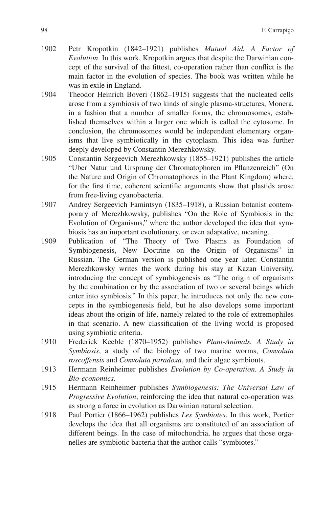- 1902 Petr Kropotkin (1842–1921) publishes *Mutual Aid. A Factor of Evolution*. In this work, Kropotkin argues that despite the Darwinian concept of the survival of the fittest, co-operation rather than conflict is the main factor in the evolution of species. The book was written while he was in exile in England.
- 1904 Theodor Heinrich Boveri (1862–1915) suggests that the nucleated cells arose from a symbiosis of two kinds of single plasma-structures, Monera, in a fashion that a number of smaller forms, the chromosomes, established themselves within a larger one which is called the cytosome. In conclusion, the chromosomes would be independent elementary organisms that live symbiotically in the cytoplasm. This idea was further deeply developed by Constantin Merezhkowsky.
- 1905 Constantin Sergeevich Merezhkowsky (1855–1921) publishes the article "Uber Natur und Ursprung der Chromatophoren im Pflanzenreich" (On the Nature and Origin of Chromatophores in the Plant Kingdom) where, for the first time, coherent scientific arguments show that plastids arose from free-living cyanobacteria.
- 1907 Andrey Sergeevich Famintsyn (1835–1918), a Russian botanist contemporary of Merezhkowsky, publishes "On the Role of Symbiosis in the Evolution of Organisms," where the author developed the idea that symbiosis has an important evolutionary, or even adaptative, meaning.
- 1909 Publication of "The Theory of Two Plasms as Foundation of Symbiogenesis, New Doctrine on the Origin of Organisms" in Russian. The German version is published one year later. Constantin Merezhkowsky writes the work during his stay at Kazan University, introducing the concept of symbiogenesis as "The origin of organisms by the combination or by the association of two or several beings which enter into symbiosis." In this paper, he introduces not only the new concepts in the symbiogenesis field, but he also develops some important ideas about the origin of life, namely related to the role of extremophiles in that scenario. A new classification of the living world is proposed using symbiotic criteria.
- 1910 Frederick Keeble (1870–1952) publishes *Plant*-*Animals. A Study in Symbiosis*, a study of the biology of two marine worms, *Convoluta roscoffensis* and *Convoluta paradoxa*, and their algae symbionts.
- 1913 Hermann Reinheimer publishes *Evolution by Co*-*operation. A Study in Bio*-*economics.*
- 1915 Hermann Reinheimer publishes *Symbiogenesis: The Universal Law of Progressive Evolution*, reinforcing the idea that natural co-operation was as strong a force in evolution as Darwinian natural selection.
- 1918 Paul Portier (1866–1962) publishes *Les Symbiotes*. In this work, Portier develops the idea that all organisms are constituted of an association of different beings. In the case of mitochondria, he argues that those organelles are symbiotic bacteria that the author calls "symbiotes."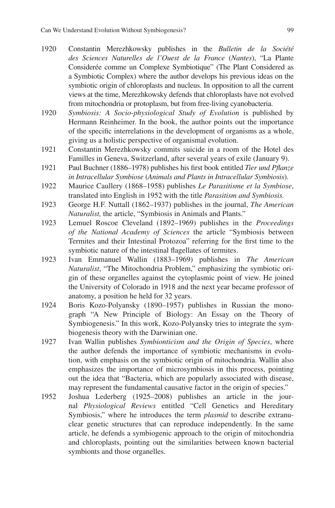- 1920 Constantin Merezhkowsky publishes in the *Bulletin de la Société des Sciences Naturelles de l'Ouest de la France* (*Nantes*), "La Plante Considerée comme un Complexe Symbiotique" (The Plant Considered as a Symbiotic Complex) where the author develops his previous ideas on the symbiotic origin of chloroplasts and nucleus. In opposition to all the current views at the time, Merezhkowsky defends that chloroplasts have not evolved from mitochondria or protoplasm, but from free-living cyanobacteria.
- 1920 *Symbiosis: A Socio*-*physiological Study of Evolution* is published by Hermann Reinheimer. In the book, the author points out the importance of the specific interrelations in the development of organisms as a whole, giving us a holistic perspective of organismal evolution.
- 1921 Constantin Merezhkowsky commits suicide in a room of the Hotel des Familles in Geneva, Switzerland, after several years of exile (January 9).
- 1921 Paul Buchner (1886–1978) publishes his first book entitled *Tier und Pflanze in Intracellular Symbiose* (*Animals and Plants in Intracellular Symbiosis*).
- 1922 Maurice Caullery (1868–1958) publishes *Le Parasitisme et la Symbiose*, translated into English in 1952 with the title *Parasitism and Symbiosis.*
- 1923 George H.F. Nuttall (1862–1937) publishes in the journal, *The American Naturalist,* the article, "Symbiosis in Animals and Plants."
- 1923 Lemuel Roscoe Cleveland (1892–1969) publishes in the *Proceedings of the National Academy of Sciences* the article "Symbiosis between Termites and their Intestinal Protozoa" referring for the first time to the symbiotic nature of the intestinal flagellates of termites.
- 1923 Ivan Emmanuel Wallin (1883–1969) publishes in *The American Naturalist*, "The Mitochondria Problem," emphasizing the symbiotic origin of these organelles against the cytoplasmic point of view. He joined the University of Colorado in 1918 and the next year became professor of anatomy, a position he held for 32 years.
- 1924 Boris Kozo-Polyansky (1890–1957) publishes in Russian the monograph "A New Principle of Biology: An Essay on the Theory of Symbiogenesis." In this work, Kozo-Polyansky tries to integrate the symbiogenesis theory with the Darwinian one.
- 1927 Ivan Wallin publishes *Symbionticism and the Origin of Species*, where the author defends the importance of symbiotic mechanisms in evolution, with emphasis on the symbiotic origin of mitochondria. Wallin also emphasizes the importance of microsymbiosis in this process, pointing out the idea that "Bacteria, which are popularly associated with disease, may represent the fundamental causative factor in the origin of species."
- 1952 Joshua Lederberg (1925–2008) publishes an article in the journal *Physiological Reviews* entitled "Cell Genetics and Hereditary Symbiosis," where he introduces the term *plasmid* to describe extranuclear genetic structures that can reproduce independently. In the same article, he defends a symbiogenic approach to the origin of mitochondria and chloroplasts, pointing out the similarities between known bacterial symbionts and those organelles.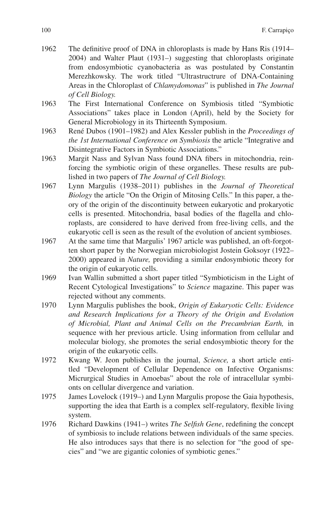- 1962 The definitive proof of DNA in chloroplasts is made by Hans Ris (1914– 2004) and Walter Plaut (1931–) suggesting that chloroplasts originate from endosymbiotic cyanobacteria as was postulated by Constantin Merezhkowsky. The work titled "Ultrastructrure of DNA-Containing Areas in the Chloroplast of *Chlamydomonas*" is published in *The Journal of Cell Biology.*
- 1963 The First International Conference on Symbiosis titled "Symbiotic Associations" takes place in London (April), held by the Society for General Microbiology in its Thirteenth Symposium.
- 1963 René Dubos (1901–1982) and Alex Kessler publish in the *Proceedings of the 1st International Conference on Symbiosis* the article "Integrative and Disintegrative Factors in Symbiotic Associations."
- 1963 Margit Nass and Sylvan Nass found DNA fibers in mitochondria, reinforcing the symbiotic origin of these organelles. These results are published in two papers of *The Journal of Cell Biology.*
- 1967 Lynn Margulis (1938–2011) publishes in the *Journal of Theoretical Biology* the article "On the Origin of Mitosing Cells." In this paper, a theory of the origin of the discontinuity between eukaryotic and prokaryotic cells is presented. Mitochondria, basal bodies of the flagella and chloroplasts, are considered to have derived from free-living cells, and the eukaryotic cell is seen as the result of the evolution of ancient symbioses.
- 1967 At the same time that Margulis' 1967 article was published, an oft-forgotten short paper by the Norwegian microbiologist Jostein Goksoyr (1922– 2000) appeared in *Nature,* providing a similar endosymbiotic theory for the origin of eukaryotic cells.
- 1969 Ivan Wallin submitted a short paper titled "Symbioticism in the Light of Recent Cytological Investigations" to *Science* magazine. This paper was rejected without any comments.
- 1970 Lynn Margulis publishes the book, *Origin of Eukaryotic Cells: Evidence and Research Implications for a Theory of the Origin and Evolution of Microbial, Plant and Animal Cells on the Precambrian Earth,* in sequence with her previous article. Using information from cellular and molecular biology, she promotes the serial endosymbiotic theory for the origin of the eukaryotic cells.
- 1972 Kwang W. Jeon publishes in the journal, *Science,* a short article entitled "Development of Cellular Dependence on Infective Organisms: Micrurgical Studies in Amoebas" about the role of intracellular symbionts on cellular divergence and variation.
- 1975 James Lovelock (1919–) and Lynn Margulis propose the Gaia hypothesis, supporting the idea that Earth is a complex self-regulatory, flexible living system.
- 1976 Richard Dawkins (1941–) writes *The Selfish Gene*, redefining the concept of symbiosis to include relations between individuals of the same species. He also introduces says that there is no selection for "the good of species" and "we are gigantic colonies of symbiotic genes."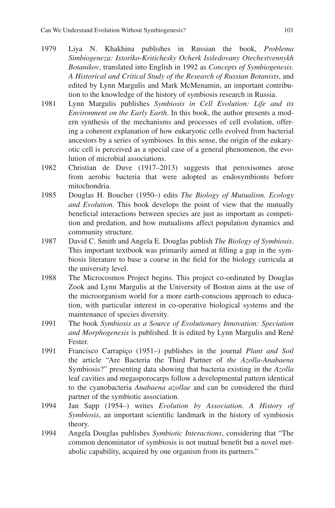- 1979 Liya N. Khakhina publishes in Russian the book, *Problema Simbiogeneza: Istoriko*-*Kritichesky Ocherk Issledovany Otechestvennykh Botanikov*, translated into English in 1992 as *Concepts of Symbiogenesis. A Historical and Critical Study of the Research of Russian Botanists*, and edited by Lynn Margulis and Mark McMenamin, an important contribution to the knowledge of the history of symbiosis research in Russia.
- 1981 Lynn Margulis publishes *Symbiosis in Cell Evolution: Life and its Environment on the Early Earth*. In this book, the author presents a modern synthesis of the mechanisms and processes of cell evolution, offering a coherent explanation of how eukaryotic cells evolved from bacterial ancestors by a series of symbioses. In this sense, the origin of the eukaryotic cell is perceived as a special case of a general phenomenon, the evolution of microbial associations.
- 1982 Christian de Duve (1917–2013) suggests that peroxisomes arose from aerobic bacteria that were adopted as endosymbionts before mitochondria.
- 1985 Douglas H. Boucher (1950–) edits *The Biology of Mutualism. Ecology and Evolution*. This book develops the point of view that the mutually beneficial interactions between species are just as important as competition and predation, and how mutualisms affect population dynamics and community structure.
- 1987 David C. Smith and Angela E. Douglas publish *The Biology of Symbiosis*. This important textbook was primarily aimed at filling a gap in the symbiosis literature to base a course in the field for the biology curricula at the university level.
- 1988 The Microcosmos Project begins. This project co-ordinated by Douglas Zook and Lynn Margulis at the University of Boston aims at the use of the microorganism world for a more earth-conscious approach to education, with particular interest in co-operative biological systems and the maintenance of species diversity.
- 1991 The book *Symbiosis as a Source of Evolutionary Innovation: Speciation and Morphogenesis* is published. It is edited by Lynn Margulis and René Fester.
- 1991 Francisco Carrapiço (1951–) publishes in the journal *Plant and Soil* the article "Are Bacteria the Third Partner of *the Azolla*-*Anabaena* Symbiosis?" presenting data showing that bacteria existing in the *Azolla* leaf cavities and megasporocarps follow a developmental pattern identical to the cyanobacteria *Anabaena azollae* and can be considered the third partner of the symbiotic association.
- 1994 Jan Sapp (1954–) writes *Evolution by Association. A History of Symbiosis*, an important scientific landmark in the history of symbiosis theory.
- 1994 Angela Douglas publishes *Symbiotic Interactions*, considering that "The common denominator of symbiosis is not mutual benefit but a novel metabolic capability, acquired by one organism from its partners."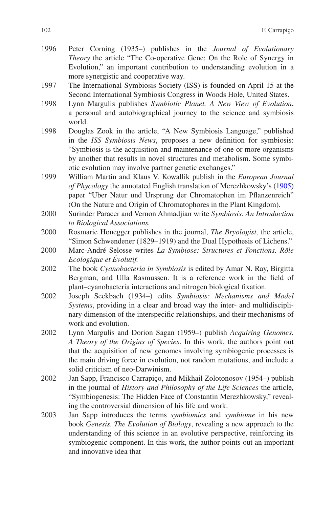- 1996 Peter Corning (1935–) publishes in the *Journal of Evolutionary Theory* the article "The Co-operative Gene: On the Role of Synergy in Evolution," an important contribution to understanding evolution in a more synergistic and cooperative way.
- 1997 The International Symbiosis Society (ISS) is founded on April 15 at the Second International Symbiosis Congress in Woods Hole, United States.
- 1998 Lynn Margulis publishes *Symbiotic Planet. A New View of Evolution*, a personal and autobiographical journey to the science and symbiosis world.
- 1998 Douglas Zook in the article, "A New Symbiosis Language," published in the *ISS Symbiosis News*, proposes a new definition for symbiosis: "Symbiosis is the acquisition and maintenance of one or more organisms by another that results in novel structures and metabolism. Some symbiotic evolution may involve partner genetic exchanges."
- 1999 William Martin and Klaus V. Kowallik publish in the *European Journal of Phycology* the annotated English translation of Merezhkowsky's [\(1905](#page-23-16)) paper "Uber Natur und Ursprung der Chromatophen im Pflanzenreich" (On the Nature and Origin of Chromatophores in the Plant Kingdom).
- 2000 Surinder Paracer and Vernon Ahmadjian write *Symbiosis. An Introduction to Biological Associations.*
- 2000 Rosmarie Honegger publishes in the journal, *The Bryologist,* the article, "Simon Schwendener (1829–1919) and the Dual Hypothesis of Lichens."
- 2000 Marc-André Selosse writes *La Symbiose: Structures et Fonctions, Rôle Ecologique et Évolutif.*
- 2002 The book *Cyanobacteria in Symbiosis* is edited by Amar N. Ray, Birgitta Bergman, and Ulla Rasmussen. It is a reference work in the field of plant–cyanobacteria interactions and nitrogen biological fixation.
- 2002 Joseph Seckbach (1934–) edits *Symbiosis: Mechanisms and Model Systems*, providing in a clear and broad way the inter- and multidisciplinary dimension of the interspecific relationships, and their mechanisms of work and evolution.
- 2002 Lynn Margulis and Dorion Sagan (1959–) publish *Acquiring Genomes. A Theory of the Origins of Species*. In this work, the authors point out that the acquisition of new genomes involving symbiogenic processes is the main driving force in evolution, not random mutations, and include a solid criticism of neo-Darwinism.
- 2002 Jan Sapp, Francisco Carrapiço, and Mikhail Zolotonosov (1954–) publish in the journal of *History and Philosophy of the Life Sciences* the article, "Symbiogenesis: The Hidden Face of Constantin Merezhkowsky," revealing the controversial dimension of his life and work.
- 2003 Jan Sapp introduces the terms *symbiomics* and *symbiome* in his new book *Genesis. The Evolution of Biology*, revealing a new approach to the understanding of this science in an evolutive perspective, reinforcing its symbiogenic component. In this work, the author points out an important and innovative idea that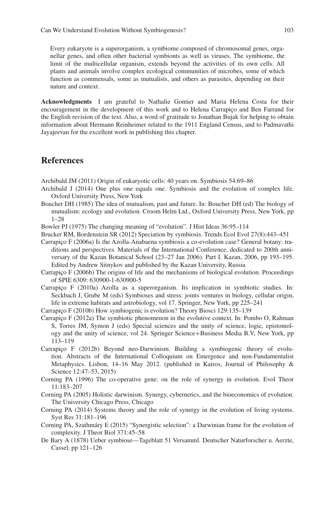Every eukaryote is a superorganism, a symbiome composed of chromosomal genes, organellar genes, and often other bacterial symbionts as well as viruses. The symbiome, the limit of the multicellular organism, extends beyond the activities of its own cells. All plants and animals involve complex ecological communities of microbes, some of which function as commensals, some as mutualists, and others as parasites, depending on their nature and context.

**Acknowledgments** I am grateful to Nathalie Gontier and Maria Helena Costa for their encouragement in the development of this work and to Helena Carrapiço and Ben Farrand for the English revision of the text. Also, a word of gratitude to Jonathan Bujak for helping to obtain information about Hermann Reinheimer related to the 1911 England Census, and to Padmavathi Jayajeevan for the excellent work in publishing this chapter.

# **References**

<span id="page-22-8"></span>Archibald JM (2011) Origin of eukaryotic cells: 40 years on. Symbiosis 54:69–86

- <span id="page-22-12"></span>Archibald J (2014) One plus one equals one. Symbiosis and the evolution of complex life. Oxford University Press, New York
- <span id="page-22-5"></span>Boucher DH (1985) The idea of mutualism, past and future. In: Boucher DH (ed) The biology of mutualism: ecology and evolution. Croom Helm Ltd., Oxford University Press, New York, pp 1–28
- <span id="page-22-0"></span>Bowler PJ (1975) The changing meaning of "evolution". J Hist Ideas 36:95–114
- <span id="page-22-6"></span>Brucker RM, Bordenstein SR (2012) Speciation by symbiosis. Trends Ecol Evol 27(8):443–451
- <span id="page-22-9"></span>Carrapiço F (2006a) Is the Azolla-Anabaena symbiosis a co-evolution case? General botany: traditions and perspectives. Materials of the International Conference, dedicated to 200th anniversary of the Kazan Botanical School (23–27 Jan 2006). Part I. Kazan, 2006, pp 193–195. Edited by Andrew Sitnykov and published by the Kazan University, Russia
- <span id="page-22-11"></span>Carrapiço F (2006b) The origins of life and the mechanisms of biological evolution. Proceedings of SPIE 6309: 630900-1-630900-5
- <span id="page-22-3"></span>Carrapiço F (2010a) Azolla as a superorganism. Its implication in symbiotic studies. In: Seckbach J, Grube M (eds) Symbioses and stress: joints ventures in biology, cellular origin, life in extreme habitats and astrobiology, vol 17. Springer, New York, pp 225–241
- <span id="page-22-7"></span>Carrapiço F (2010b) How symbiogenic is evolution? Theory Biosci 129:135–139
- <span id="page-22-15"></span>Carrapiço F (2012a) The symbiotic phenomenon in the evolutive context. In: Pombo O, Rahman S, Torres JM, Symon J (eds) Special sciences and the unity of science, logic, epistomology and the unity of science, vol 24. Springer Science+Business Media B.V, New York, pp 113–119
- <span id="page-22-10"></span>Carrapiço F (2012b) Beyond neo-Darwinism. Building a symbiogenic theory of evolution. Abstracts of the International Colloquium on Emergence and non-Fundamentalist Metaphysics. Lisbon, 14–16 May 2012. (published in Kairos, Journal of Philosophy & Science 12:47–53, 2015)
- <span id="page-22-1"></span>Corning PA (1996) The co-operative gene: on the role of synergy in evolution. Evol Theor 11:183–207
- <span id="page-22-2"></span>Corning PA (2005) Holistic darwinism. Synergy, cybernetics, and the bioeconomics of evolution. The University Chicago Press, Chicago
- <span id="page-22-13"></span>Corning PA (2014) Systems theory and the role of synergy in the evolution of living systems. Syst Res 31:181–196
- <span id="page-22-14"></span>Corning PA, Szathmáry E (2015) "Synergistic selection": a Darwinian frame for the evolution of complexity. J Theor Biol 371:45–58
- <span id="page-22-4"></span>De Bary A (1878) Ueber symbiose—Tageblatt 51 Versamml. Deutscher Naturforscher u. Aerzte, Cassel, pp 121–126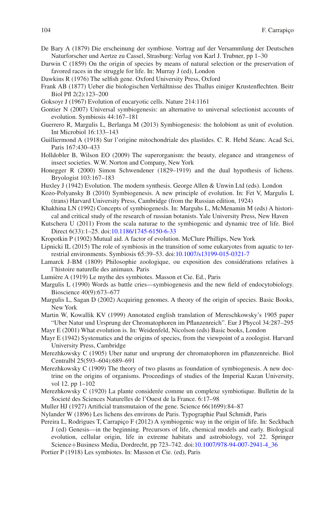- <span id="page-23-13"></span>De Bary A (1879) Die erscheinung der symbiose. Vortrag auf der Versammlung der Deutschen Naturforscher und Aertze zu Cassel, Strasburg: Verlag von Karl J. Trubner, pp 1–30
- <span id="page-23-3"></span>Darwin C (1859) On the origin of species by means of natural selection or the preservation of favored races in the struggle for life. In: Murray J (ed), London
- <span id="page-23-8"></span>Dawkins R (1976) The selfish gene. Oxford University Press, Oxford
- <span id="page-23-12"></span>Frank AB (1877) Ueber die biologischen Verhältnisse des Thallus einiger Krustenflechten. Beitr Biol Pfl 2(2):123–200
- <span id="page-23-25"></span>Goksoyr J (1967) Evolution of eucaryotic cells. Nature 214:1161
- <span id="page-23-26"></span>Gontier N (2007) Universal symbiogenesis: an alternative to universal selectionist accounts of evolution. Symbiosis 44:167–181
- <span id="page-23-28"></span>Guerrero R, Margulis L, Berlanga M (2013) Symbiogenesis: the holobiont as unit of evolution. Int Microbiol 16:133–143
- <span id="page-23-18"></span>Guilliermond A (1918) Sur l'origine mitochondriale des plastides. C. R. Hebd Séanc. Acad Sci, Paris 167:430–433
- <span id="page-23-27"></span>Holldobler B, Wilson EO (2009) The superorganism: the beauty, elegance and strangeness of insect societies. W.W. Norton and Company, New York
- <span id="page-23-10"></span>Honegger R (2000) Simon Schwendener (1829–1919) and the dual hypothesis of lichens. Bryologist 103:167–183
- <span id="page-23-4"></span>Huxley J (1942) Evolution. The modern synthesis. George Allen & Unwin Ltd (eds). London
- <span id="page-23-24"></span>Kozo-Polyansky B (2010) Symbiogenesis. A new principle of evolution. In: Fet V, Margulis L (trans) Harvard University Press, Cambridge (from the Russian edition, 1924)
- <span id="page-23-20"></span>Khakhina LN (1992) Concepts of symbiogenesls. In: Marguhs L, McMenamin M (eds) A historical and critical study of the research of russian botanists. Yale University Press, New Haven
- <span id="page-23-1"></span>Kutschera U (2011) From the scala naturae to the symbiogenic and dynamic tree of life. Biol Direct 6(33):1–25. doi:[10.1186/1745-6150-6-33](http://dx.doi.org/10.1186/1745-6150-6-33)
- <span id="page-23-14"></span>Kropotkin P (1902) Mutual aid. A factor of evolution. McClure Phillips, New York
- <span id="page-23-29"></span>Lipnicki IL (2015) The role of symbiosis in the transition of some eukaryotes from aquatic to terrestrial environments. Symbiosis 65:39–53. doi[:10.1007/s13199-015-0321-7](http://dx.doi.org/10.1007/s13199-015-0321-7)
- <span id="page-23-2"></span>Lamarck J-BM (1809) Philosophie zoologique, ou exposition des considérations relatives à l'histoire naturelle des animaux. Paris
- <span id="page-23-22"></span>Lumière A (1919) Le mythe des symbiotes. Masson et Cie. Ed., Paris
- <span id="page-23-7"></span>Margulis L (1990) Words as battle cries—symbiogenesis and the new field of endocytobiology. Bioscience 40(9):673–677
- <span id="page-23-6"></span>Margulis L, Sagan D (2002) Acquiring genomes. A theory of the origin of species. Basic Books, New York
- <span id="page-23-15"></span>Martin W, Kowallik KV (1999) Annotated english translation of Mereschkowsky's 1905 paper "Uber Natur und Ursprung der Chromatophoren im Pflanzenreich". Eur J Phycol 34:287–295
- <span id="page-23-0"></span>Mayr E (2001) What evolution is. In: Weidenfeld, Nicolson (eds) Basic books, London
- <span id="page-23-5"></span>Mayr E (1942) Systematics and the origins of species, from the viewpoint of a zoologist. Harvard University Press, Cambridge
- <span id="page-23-16"></span>Merezhkowsky C (1905) Uber natur und ursprung der chromatophoren im pflanzenreiche. Biol Centralbl 25(593–604):689–691
- <span id="page-23-17"></span>Merezhkowsky C (1909) The theory of two plasms as foundation of symbiogenesis. A new doctrine on the origins of organisms. Proceedings of studies of the Imperial Kazan University, vol 12. pp 1–102
- <span id="page-23-19"></span>Merezhkowsky C (1920) La plante considerée comme un complexe symbiotique. Bulletin de la Societé des Sciences Naturelles de l'Ouest de la France. 6:17–98
- <span id="page-23-23"></span>Muller HJ (1927) Artificial transmutaion of the gene. Science 66(1699):84–87
- <span id="page-23-11"></span>Nylander W (1896) Les lichens des environs de Paris. Typographie Paul Schmidt, Paris
- <span id="page-23-9"></span>Pereira L, Rodrigues T, Carrapiço F (2012) A symbiogenic way in the origin of life. In: Seckbach J (ed) Genesis—in the beginning. Precursors of life, chemical models and early. Biological evolution, cellular origin, life in extreme habitats and astrobiology, vol 22. Springer Science+Business Media, Dordrecht, pp 723–742. doi[:10.1007/978-94-007-2941-4\\_36](http://dx.doi.org/10.1007/978-94-007-2941-4_36)
- <span id="page-23-21"></span>Portier P (1918) Les symbiotes. In: Masson et Cie. (ed), Paris